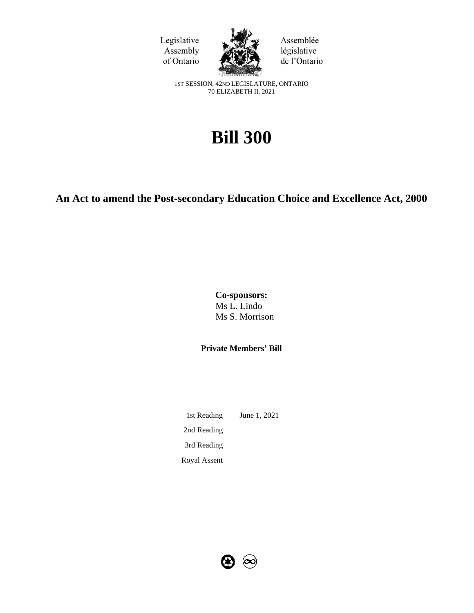



Assemblée législative de l'Ontario

1ST SESSION, 42ND LEGISLATURE, ONTARIO 70 ELIZABETH II, 2021

# **Bill 300**

# **An Act to amend the Post-secondary Education Choice and Excellence Act, 2000**

**Co-sponsors:** Ms L. Lindo Ms S. Morrison

**Private Members' Bill**

1st Reading June 1, 2021 2nd Reading 3rd Reading Royal Assent

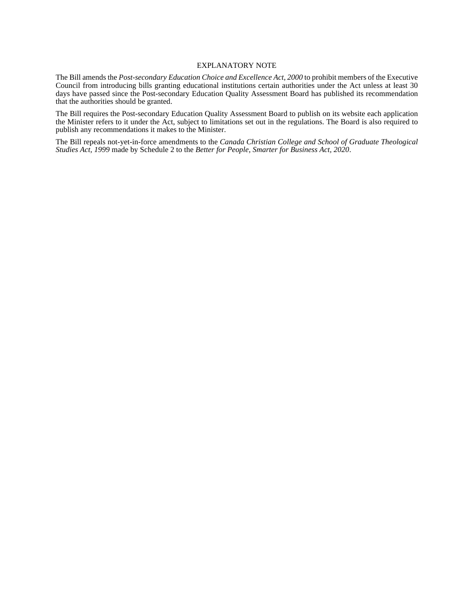#### EXPLANATORY NOTE

The Bill amends the *Post-secondary Education Choice and Excellence Act, 2000* to prohibit members of the Executive Council from introducing bills granting educational institutions certain authorities under the Act unless at least 30 days have passed since the Post-secondary Education Quality Assessment Board has published its recommendation that the authorities should be granted.

The Bill requires the Post-secondary Education Quality Assessment Board to publish on its website each application the Minister refers to it under the Act, subject to limitations set out in the regulations. The Board is also required to publish any recommendations it makes to the Minister.

The Bill repeals not-yet-in-force amendments to the *Canada Christian College and School of Graduate Theological Studies Act, 1999* made by Schedule 2 to the *Better for People, Smarter for Business Act, 2020*.